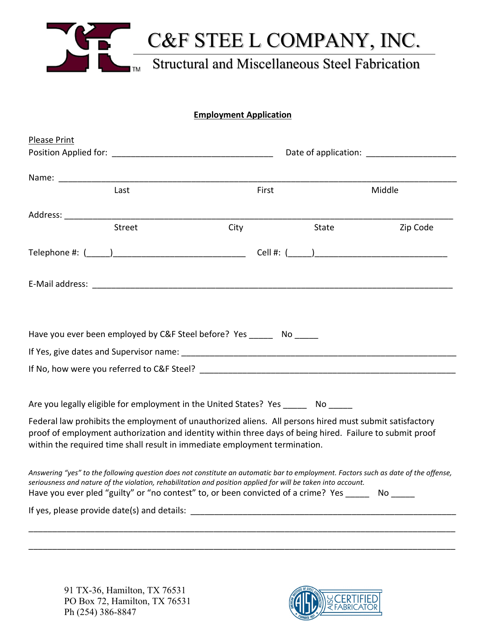

# **Employment Application**

| <b>Please Print</b> |                                                                                                                                                                                                                   |      |       |       |                                                                                                                                                                                                                     |
|---------------------|-------------------------------------------------------------------------------------------------------------------------------------------------------------------------------------------------------------------|------|-------|-------|---------------------------------------------------------------------------------------------------------------------------------------------------------------------------------------------------------------------|
|                     |                                                                                                                                                                                                                   |      |       |       |                                                                                                                                                                                                                     |
|                     |                                                                                                                                                                                                                   |      |       |       |                                                                                                                                                                                                                     |
|                     | Last                                                                                                                                                                                                              |      | First |       | Middle                                                                                                                                                                                                              |
|                     |                                                                                                                                                                                                                   |      |       |       |                                                                                                                                                                                                                     |
|                     | <b>Street</b>                                                                                                                                                                                                     | City |       | State | Zip Code                                                                                                                                                                                                            |
|                     |                                                                                                                                                                                                                   |      |       |       |                                                                                                                                                                                                                     |
|                     |                                                                                                                                                                                                                   |      |       |       |                                                                                                                                                                                                                     |
|                     |                                                                                                                                                                                                                   |      |       |       |                                                                                                                                                                                                                     |
|                     | Have you ever been employed by C&F Steel before? Yes _______ No ______                                                                                                                                            |      |       |       |                                                                                                                                                                                                                     |
|                     |                                                                                                                                                                                                                   |      |       |       |                                                                                                                                                                                                                     |
|                     |                                                                                                                                                                                                                   |      |       |       |                                                                                                                                                                                                                     |
|                     |                                                                                                                                                                                                                   |      |       |       |                                                                                                                                                                                                                     |
|                     | Are you legally eligible for employment in the United States? Yes ______ No _____                                                                                                                                 |      |       |       |                                                                                                                                                                                                                     |
|                     | within the required time shall result in immediate employment termination.                                                                                                                                        |      |       |       | Federal law prohibits the employment of unauthorized aliens. All persons hired must submit satisfactory<br>proof of employment authorization and identity within three days of being hired. Failure to submit proof |
|                     | seriousness and nature of the violation, rehabilitation and position applied for will be taken into account.<br>Have you ever pled "guilty" or "no contest" to, or been convicted of a crime? Yes ______ No _____ |      |       |       | Answering "yes" to the following question does not constitute an automatic bar to employment. Factors such as date of the offense,                                                                                  |
|                     |                                                                                                                                                                                                                   |      |       |       |                                                                                                                                                                                                                     |
|                     |                                                                                                                                                                                                                   |      |       |       |                                                                                                                                                                                                                     |
|                     |                                                                                                                                                                                                                   |      |       |       |                                                                                                                                                                                                                     |

 91 TX-36, Hamilton, TX 76531 PO Box 72, Hamilton, TX 76531 Ph (254) 386-8847

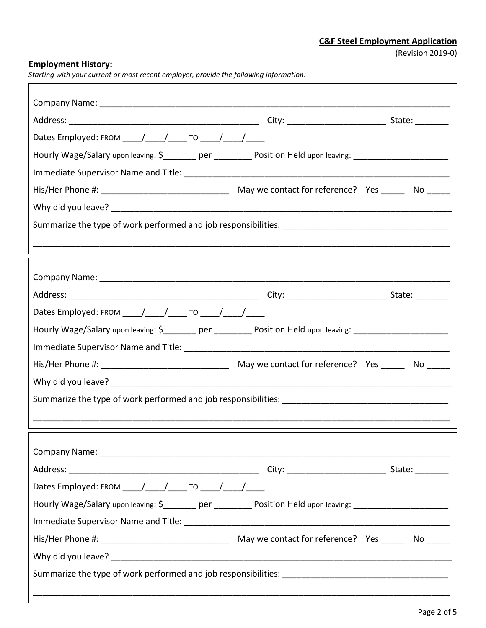٦

# **Employment History:**

*Starting with your current or most recent employer, provide the following information:*

| Dates Employed: FROM _____/ _____/ _____ TO _____/ _____/ _____                                                 |                                                                                                                 |  |
|-----------------------------------------------------------------------------------------------------------------|-----------------------------------------------------------------------------------------------------------------|--|
| Hourly Wage/Salary upon leaving: \$_________ per _________ Position Held upon leaving: ________________________ |                                                                                                                 |  |
|                                                                                                                 |                                                                                                                 |  |
|                                                                                                                 |                                                                                                                 |  |
|                                                                                                                 |                                                                                                                 |  |
|                                                                                                                 |                                                                                                                 |  |
|                                                                                                                 |                                                                                                                 |  |
|                                                                                                                 |                                                                                                                 |  |
|                                                                                                                 |                                                                                                                 |  |
|                                                                                                                 |                                                                                                                 |  |
| Dates Employed: FROM _____/ _____/ _____ TO _____/ _____/                                                       |                                                                                                                 |  |
| Hourly Wage/Salary upon leaving: \$_________ per _________ Position Held upon leaving: ________________________ |                                                                                                                 |  |
|                                                                                                                 |                                                                                                                 |  |
|                                                                                                                 |                                                                                                                 |  |
|                                                                                                                 |                                                                                                                 |  |
|                                                                                                                 |                                                                                                                 |  |
|                                                                                                                 |                                                                                                                 |  |
|                                                                                                                 |                                                                                                                 |  |
|                                                                                                                 |                                                                                                                 |  |
|                                                                                                                 |                                                                                                                 |  |
| Dates Employed: FROM _____/_____/______ TO _____/_____/_____                                                    |                                                                                                                 |  |
|                                                                                                                 | Hourly Wage/Salary upon leaving: \$_________ per _________ Position Held upon leaving: ________________________ |  |
|                                                                                                                 |                                                                                                                 |  |
|                                                                                                                 |                                                                                                                 |  |
|                                                                                                                 |                                                                                                                 |  |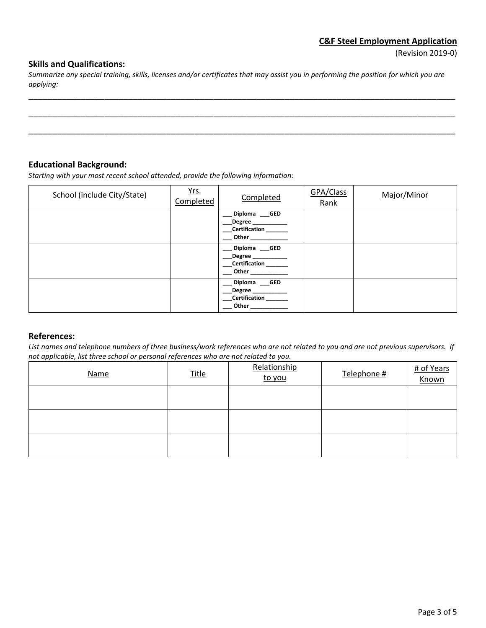#### **Skills and Qualifications:**

*Summarize any special training, skills, licenses and/or certificates that may assist you in performing the position for which you are applying:*

\_\_\_\_\_\_\_\_\_\_\_\_\_\_\_\_\_\_\_\_\_\_\_\_\_\_\_\_\_\_\_\_\_\_\_\_\_\_\_\_\_\_\_\_\_\_\_\_\_\_\_\_\_\_\_\_\_\_\_\_\_\_\_\_\_\_\_\_\_\_\_\_\_\_\_\_\_\_\_\_\_\_\_\_\_\_\_\_\_\_

\_\_\_\_\_\_\_\_\_\_\_\_\_\_\_\_\_\_\_\_\_\_\_\_\_\_\_\_\_\_\_\_\_\_\_\_\_\_\_\_\_\_\_\_\_\_\_\_\_\_\_\_\_\_\_\_\_\_\_\_\_\_\_\_\_\_\_\_\_\_\_\_\_\_\_\_\_\_\_\_\_\_\_\_\_\_\_\_\_\_

\_\_\_\_\_\_\_\_\_\_\_\_\_\_\_\_\_\_\_\_\_\_\_\_\_\_\_\_\_\_\_\_\_\_\_\_\_\_\_\_\_\_\_\_\_\_\_\_\_\_\_\_\_\_\_\_\_\_\_\_\_\_\_\_\_\_\_\_\_\_\_\_\_\_\_\_\_\_\_\_\_\_\_\_\_\_\_\_\_\_

#### **Educational Background:**

*Starting with your most recent school attended, provide the following information:*

| School (include City/State) | Yrs.<br>Completed | Completed                                                                                                        | GPA/Class<br>Rank | Major/Minor |
|-----------------------------|-------------------|------------------------------------------------------------------------------------------------------------------|-------------------|-------------|
|                             |                   | Diploma GED<br><b>Degree</b><br>_Certification _______<br><b>Other Community</b>                                 |                   |             |
|                             |                   | Diploma GED<br>Degree ____________<br>_Certification _______                                                     |                   |             |
|                             |                   | Diploma GED<br>$\begin{array}{c} \text{Degree} \end{array}$<br>__Certification _______<br><b>Other Community</b> |                   |             |

### **References:**

*List names and telephone numbers of three business/work references who are not related to you and are not previous supervisors. If not applicable, list three school or personal references who are not related to you.*

| <b>Name</b> | <u>Title</u> | Relationship<br>to you | Telephone # | # of Years<br>Known |
|-------------|--------------|------------------------|-------------|---------------------|
|             |              |                        |             |                     |
|             |              |                        |             |                     |
|             |              |                        |             |                     |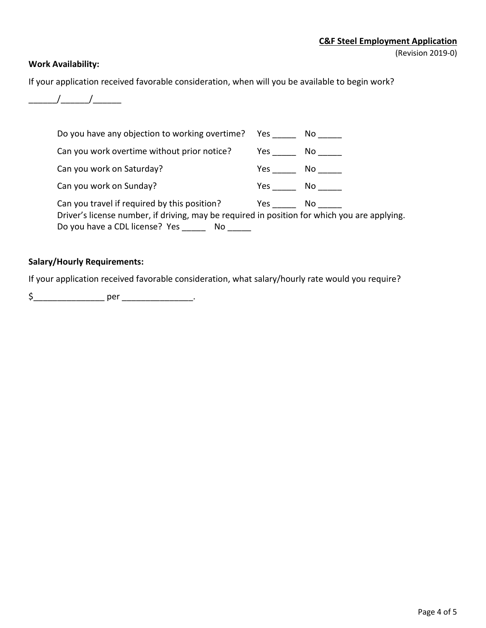### **Work Availability:**

If your application received favorable consideration, when will you be available to begin work?



| Do you have any objection to working overtime? Yes No                                                                                                                                 |                                                                                                                                                                                                                                |      |
|---------------------------------------------------------------------------------------------------------------------------------------------------------------------------------------|--------------------------------------------------------------------------------------------------------------------------------------------------------------------------------------------------------------------------------|------|
| Can you work overtime without prior notice?                                                                                                                                           | Yes a controller                                                                                                                                                                                                               | No l |
| Can you work on Saturday?                                                                                                                                                             | Yes the control of the control of the control of the control of the control of the control of the control of the control of the control of the control of the control of the control of the control of the control of the cont | No l |
| Can you work on Sunday?                                                                                                                                                               | Yes a                                                                                                                                                                                                                          | No l |
| Can you travel if required by this position?<br>Driver's license number, if driving, may be required in position for which you are applying.<br>Do you have a CDL license? Yes<br>No. | Yes a controller                                                                                                                                                                                                               | No l |

### **Salary/Hourly Requirements:**

If your application received favorable consideration, what salary/hourly rate would you require?

\$\_\_\_\_\_\_\_\_\_\_\_\_\_\_\_ per \_\_\_\_\_\_\_\_\_\_\_\_\_\_\_.